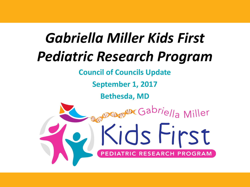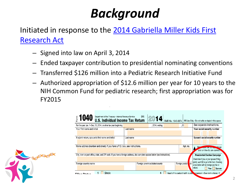## *Background*

[Initiated in response to the 2014 Gabriella Miller Kids First](https://www.congress.gov/bill/113th-congress/house-bill/2019/text?q=%7B%22search%22:%5B%22%5C%22hr2019%5C%22%22%5D%7D&resultIndex=2)  Research Act

- Signed into law on April 3, 2014
- Ended taxpayer contribution to presidential nominating conventions
- Transferred \$126 million into a Pediatric Research Initiative Fund
- Authorized appropriation of \$12.6 million per year for 10 years to the NIH Common Fund for pediatric research; first appropriation was for FY2015



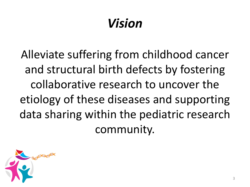# *Vision*

Alleviate suffering from childhood cancer and structural birth defects by fostering collaborative research to uncover the etiology of these diseases and supporting data sharing within the pediatric research community.

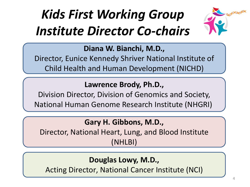# *Kids First Working Group Institute Director Co-chairs*



**Diana W. Bianchi, M.D.,** 

Director, Eunice Kennedy Shriver National Institute of Child Health and Human Development (NICHD)

#### **Lawrence Brody, Ph.D.,**

Division Director, Division of Genomics and Society, National Human Genome Research Institute (NHGRI)

#### **Gary H. Gibbons, M.D.,**

Director, National Heart, Lung, and Blood Institute (NHLBI)

#### **Douglas Lowy, M.D.,**

Acting Director, National Cancer Institute (NCI)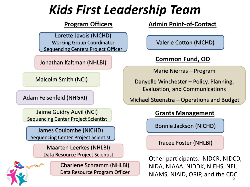## *Kids First Leadership Team*

#### **Program Officers**

Lorette Javois (NICHD) Working Group Coordinator Sequencing Centers Project Officer

Jonathan Kaltman (NHLBI)

Malcolm Smith (NCI)

Adam Felsenfeld (NHGRI)

Jaime Guidry Auvil (NCI) Sequencing Center Project Scientist

James Coulombe (NICHD) Sequencing Center Project Scientist

> Maarten Leerkes (NHLBI) Data Resource Project Scientist



Charlene Schramm (NHLBI) Data Resource Program Officer **Admin Point-of-Contact**

Valerie Cotton (NICHD)

#### **Common Fund, OD**

Marie Nierras – Program

Danyelle Winchester – Policy, Planning, Evaluation, and Communications

Michael Steenstra – Operations and Budget

#### **Grants Management**

Bonnie Jackson (NICHD)

Tracee Foster (NHLBI)

NIAMS, NIAID, ORIP, and the  $\textsf{\small CD}^\textsf{\small C}_5$ Other participants: NIDCR, NIDCD, NIDA, NIAAA, NIDDK, NIEHS, NEI,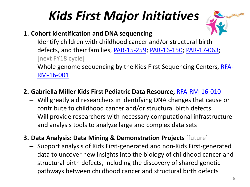## *Kids First Major Initiatives*



- **1. Cohort identification and DNA sequencing**
	- Identify children with childhood cancer and/or structural birth defects, and their families, [PAR-15-259;](http://grants.nih.gov/grants/guide/pa-files/PAR-15-259.html) [PAR-16-150;](http://grants.nih.gov/grants/guide/pa-files/PAR-16-150.html) [PAR-17-063;](http://grants.nih.gov/grants/guide/pa-files/PAR-17-063.html) [next FY18 cycle]
	- [Whole genome sequencing by the Kids First Sequencing Centers, RFA-](https://grants.nih.gov/grants/guide/rfa-files/RFA-RM-16-001.html)RM-16-001

#### **2. Gabriella Miller Kids First Pediatric Data Resource,** [RFA-RM-16-010](https://grants.nih.gov/grants/guide/rfa-files/RFA-RM-16-010.html)

- Will greatly aid researchers in identifying DNA changes that cause or contribute to childhood cancer and/or structural birth defects
- Will provide researchers with necessary computational infrastructure and analysis tools to analyze large and complex data sets
- **3. Data Analysis: Data Mining & Demonstration Projects** [future]
	- Support analysis of Kids First-generated and non-Kids First-generated data to uncover new insights into the biology of childhood cancer and structural birth defects, including the discovery of shared genetic pathways between childhood cancer and structural birth defects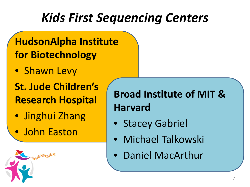## *Kids First Sequencing Centers*

## **HudsonAlpha Institute for Biotechnology**

• Shawn Levy

**St. Jude Children's Research Hospital**

- Jinghui Zhang
- John Easton

## **Broad Institute of MIT & Harvard**

- Stacey Gabriel
- Michael Talkowski
- Daniel MacArthur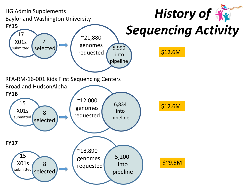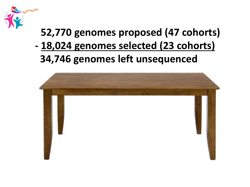

## **52,770 genomes proposed (47 cohorts) - 18,024 genomes selected (23 cohorts) 34,746 genomes left unsequenced**

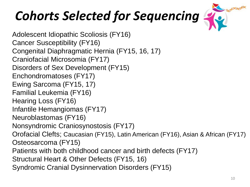# *Cohorts Selected for Sequencing*



Adolescent Idiopathic Scoliosis (FY16) Cancer Susceptibility (FY16) Congenital Diaphragmatic Hernia (FY15, 16, 17) Craniofacial Microsomia (FY17) Disorders of Sex Development (FY15) Enchondromatoses (FY17) Ewing Sarcoma (FY15, 17) Familial Leukemia (FY16) Hearing Loss (FY16) Infantile Hemangiomas (FY17) Neuroblastomas (FY16) Nonsyndromic Craniosynostosis (FY17) Orofacial Clefts; Caucasian (FY15), Latin American (FY16), Asian & African (FY17) Osteosarcoma (FY15) Patients with both childhood cancer and birth defects (FY17) Structural Heart & Other Defects (FY15, 16) Syndromic Cranial Dysinnervation Disorders (FY15)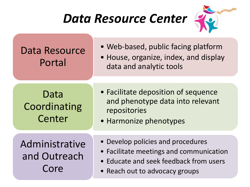## *Data Resource Center*



- Data Resource Web-based, public facing platform
	- Portal House, organize, index, and display data and analytic tools

- Data Facilitate deposition of sequence Coordinating and phenotype data into relevant repositories
	- Center Harmonize phenotypes
- Administrative Develop policies and procedures
	- and Outreach Facilitate meetings and communication
		- Educate and seek feedback from users
		- Core **•** Reach out to advocacy groups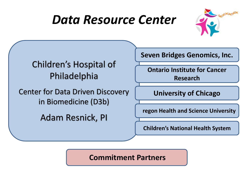## *Data Resource Center*





#### **Commitment Partners**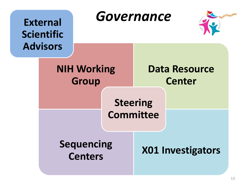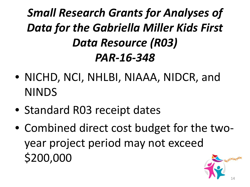## *Small Research Grants for Analyses of Data for the Gabriella Miller Kids First Data Resource (R03) PAR-16-348*

- NICHD, NCI, NHLBI, NIAAA, NIDCR, and NINDS
- Standard R03 receipt dates
- Combined direct cost budget for the twoyear project period may not exceed \$200,000